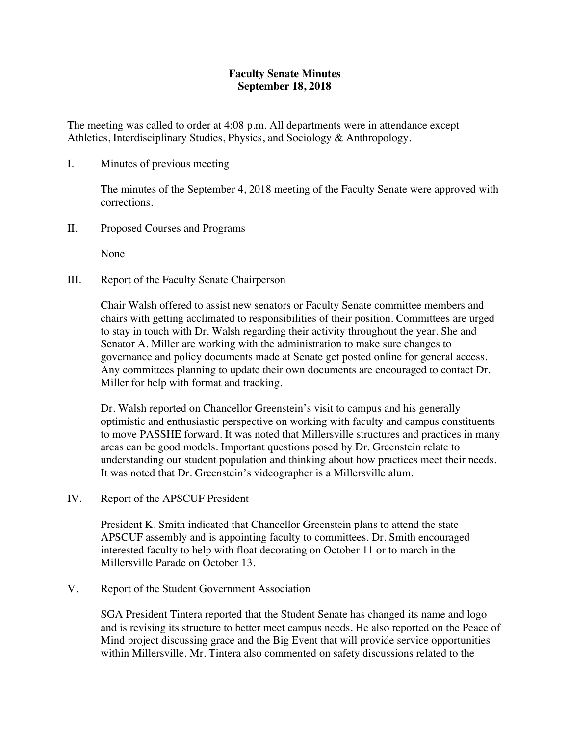## **Faculty Senate Minutes September 18, 2018**

The meeting was called to order at 4:08 p.m. All departments were in attendance except Athletics, Interdisciplinary Studies, Physics, and Sociology & Anthropology.

I. Minutes of previous meeting

The minutes of the September 4, 2018 meeting of the Faculty Senate were approved with corrections.

II. Proposed Courses and Programs

None

III. Report of the Faculty Senate Chairperson

Chair Walsh offered to assist new senators or Faculty Senate committee members and chairs with getting acclimated to responsibilities of their position. Committees are urged to stay in touch with Dr. Walsh regarding their activity throughout the year. She and Senator A. Miller are working with the administration to make sure changes to governance and policy documents made at Senate get posted online for general access. Any committees planning to update their own documents are encouraged to contact Dr. Miller for help with format and tracking.

Dr. Walsh reported on Chancellor Greenstein's visit to campus and his generally optimistic and enthusiastic perspective on working with faculty and campus constituents to move PASSHE forward. It was noted that Millersville structures and practices in many areas can be good models. Important questions posed by Dr. Greenstein relate to understanding our student population and thinking about how practices meet their needs. It was noted that Dr. Greenstein's videographer is a Millersville alum.

IV. Report of the APSCUF President

President K. Smith indicated that Chancellor Greenstein plans to attend the state APSCUF assembly and is appointing faculty to committees. Dr. Smith encouraged interested faculty to help with float decorating on October 11 or to march in the Millersville Parade on October 13.

V. Report of the Student Government Association

SGA President Tintera reported that the Student Senate has changed its name and logo and is revising its structure to better meet campus needs. He also reported on the Peace of Mind project discussing grace and the Big Event that will provide service opportunities within Millersville. Mr. Tintera also commented on safety discussions related to the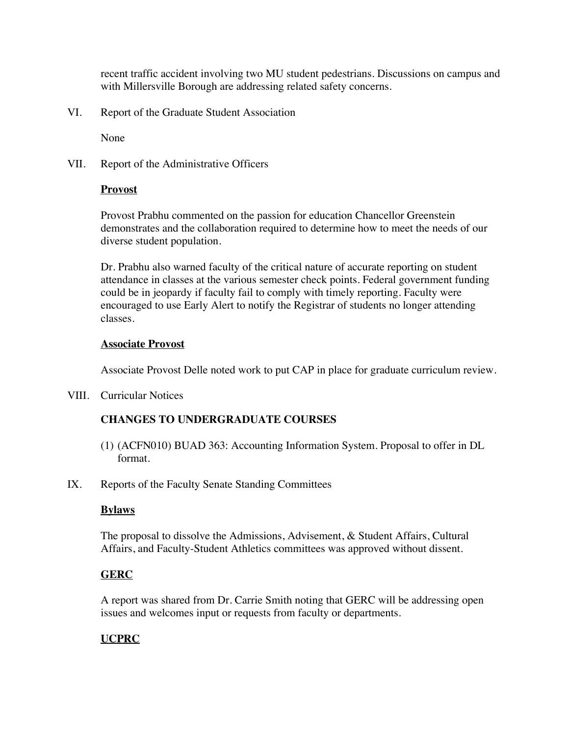recent traffic accident involving two MU student pedestrians. Discussions on campus and with Millersville Borough are addressing related safety concerns.

VI. Report of the Graduate Student Association

None

VII. Report of the Administrative Officers

### **Provost**

Provost Prabhu commented on the passion for education Chancellor Greenstein demonstrates and the collaboration required to determine how to meet the needs of our diverse student population.

Dr. Prabhu also warned faculty of the critical nature of accurate reporting on student attendance in classes at the various semester check points. Federal government funding could be in jeopardy if faculty fail to comply with timely reporting. Faculty were encouraged to use Early Alert to notify the Registrar of students no longer attending classes.

#### **Associate Provost**

Associate Provost Delle noted work to put CAP in place for graduate curriculum review.

VIII. Curricular Notices

# **CHANGES TO UNDERGRADUATE COURSES**

- (1) (ACFN010) BUAD 363: Accounting Information System. Proposal to offer in DL format.
- IX. Reports of the Faculty Senate Standing Committees

### **Bylaws**

The proposal to dissolve the Admissions, Advisement, & Student Affairs, Cultural Affairs, and Faculty-Student Athletics committees was approved without dissent.

### **GERC**

A report was shared from Dr. Carrie Smith noting that GERC will be addressing open issues and welcomes input or requests from faculty or departments.

# **UCPRC**